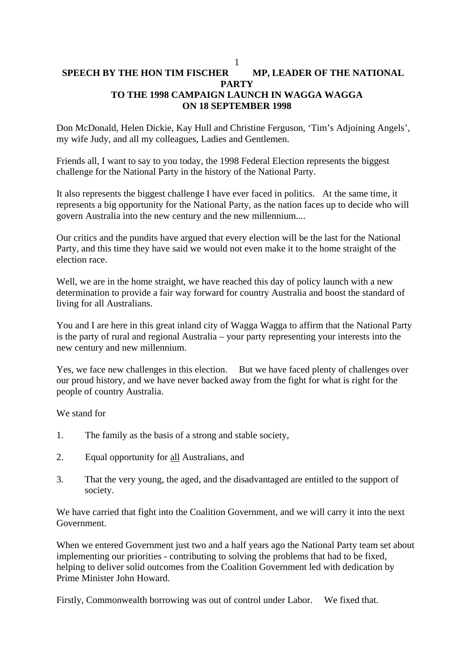# 1 **SPEECH BY THE HON TIM FISCHER MP, LEADER OF THE NATIONAL PARTY TO THE 1998 CAMPAIGN LAUNCH IN WAGGA WAGGA ON 18 SEPTEMBER 1998**

Don McDonald, Helen Dickie, Kay Hull and Christine Ferguson, 'Tim's Adjoining Angels', my wife Judy, and all my colleagues, Ladies and Gentlemen.

Friends all, I want to say to you today, the 1998 Federal Election represents the biggest challenge for the National Party in the history of the National Party.

It also represents the biggest challenge I have ever faced in politics. At the same time, it represents a big opportunity for the National Party, as the nation faces up to decide who will govern Australia into the new century and the new millennium....

Our critics and the pundits have argued that every election will be the last for the National Party, and this time they have said we would not even make it to the home straight of the election race.

Well, we are in the home straight, we have reached this day of policy launch with a new determination to provide a fair way forward for country Australia and boost the standard of living for all Australians.

You and I are here in this great inland city of Wagga Wagga to affirm that the National Party is the party of rural and regional Australia – your party representing your interests into the new century and new millennium.

Yes, we face new challenges in this election. But we have faced plenty of challenges over our proud history, and we have never backed away from the fight for what is right for the people of country Australia.

We stand for

- 1. The family as the basis of a strong and stable society,
- 2. Equal opportunity for all Australians, and
- 3. That the very young, the aged, and the disadvantaged are entitled to the support of society.

We have carried that fight into the Coalition Government, and we will carry it into the next Government.

When we entered Government just two and a half years ago the National Party team set about implementing our priorities - contributing to solving the problems that had to be fixed, helping to deliver solid outcomes from the Coalition Government led with dedication by Prime Minister John Howard.

Firstly, Commonwealth borrowing was out of control under Labor. We fixed that.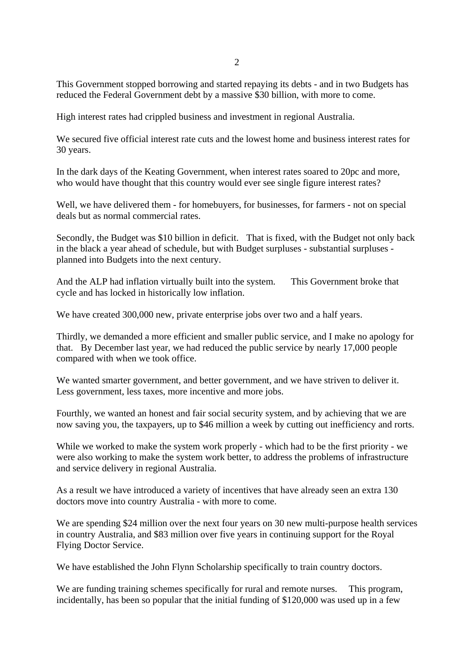This Government stopped borrowing and started repaying its debts - and in two Budgets has reduced the Federal Government debt by a massive \$30 billion, with more to come.

High interest rates had crippled business and investment in regional Australia.

We secured five official interest rate cuts and the lowest home and business interest rates for 30 years.

In the dark days of the Keating Government, when interest rates soared to 20pc and more, who would have thought that this country would ever see single figure interest rates?

Well, we have delivered them - for homebuyers, for businesses, for farmers - not on special deals but as normal commercial rates.

Secondly, the Budget was \$10 billion in deficit. That is fixed, with the Budget not only back in the black a year ahead of schedule, but with Budget surpluses - substantial surpluses planned into Budgets into the next century.

And the ALP had inflation virtually built into the system. This Government broke that cycle and has locked in historically low inflation.

We have created 300,000 new, private enterprise jobs over two and a half years.

Thirdly, we demanded a more efficient and smaller public service, and I make no apology for that. By December last year, we had reduced the public service by nearly 17,000 people compared with when we took office.

We wanted smarter government, and better government, and we have striven to deliver it. Less government, less taxes, more incentive and more jobs.

Fourthly, we wanted an honest and fair social security system, and by achieving that we are now saving you, the taxpayers, up to \$46 million a week by cutting out inefficiency and rorts.

While we worked to make the system work properly - which had to be the first priority - we were also working to make the system work better, to address the problems of infrastructure and service delivery in regional Australia.

As a result we have introduced a variety of incentives that have already seen an extra 130 doctors move into country Australia - with more to come.

We are spending \$24 million over the next four years on 30 new multi-purpose health services in country Australia, and \$83 million over five years in continuing support for the Royal Flying Doctor Service.

We have established the John Flynn Scholarship specifically to train country doctors.

We are funding training schemes specifically for rural and remote nurses. This program, incidentally, has been so popular that the initial funding of \$120,000 was used up in a few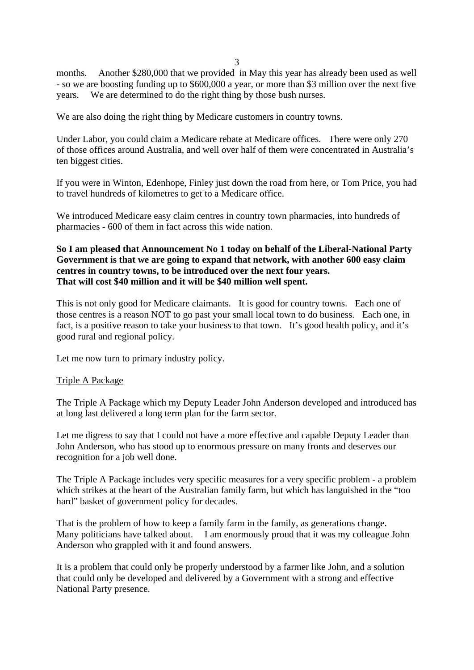3

months. Another \$280,000 that we provided in May this year has already been used as well - so we are boosting funding up to \$600,000 a year, or more than \$3 million over the next five years. We are determined to do the right thing by those bush nurses.

We are also doing the right thing by Medicare customers in country towns.

Under Labor, you could claim a Medicare rebate at Medicare offices. There were only 270 of those offices around Australia, and well over half of them were concentrated in Australia's ten biggest cities.

If you were in Winton, Edenhope, Finley just down the road from here, or Tom Price, you had to travel hundreds of kilometres to get to a Medicare office.

We introduced Medicare easy claim centres in country town pharmacies, into hundreds of pharmacies - 600 of them in fact across this wide nation.

# **So I am pleased that Announcement No 1 today on behalf of the Liberal-National Party Government is that we are going to expand that network, with another 600 easy claim centres in country towns, to be introduced over the next four years. That will cost \$40 million and it will be \$40 million well spent.**

This is not only good for Medicare claimants. It is good for country towns. Each one of those centres is a reason NOT to go past your small local town to do business. Each one, in fact, is a positive reason to take your business to that town. It's good health policy, and it's good rural and regional policy.

Let me now turn to primary industry policy.

#### Triple A Package

The Triple A Package which my Deputy Leader John Anderson developed and introduced has at long last delivered a long term plan for the farm sector.

Let me digress to say that I could not have a more effective and capable Deputy Leader than John Anderson, who has stood up to enormous pressure on many fronts and deserves our recognition for a job well done.

The Triple A Package includes very specific measures for a very specific problem - a problem which strikes at the heart of the Australian family farm, but which has languished in the "too hard" basket of government policy for decades.

That is the problem of how to keep a family farm in the family, as generations change. Many politicians have talked about. I am enormously proud that it was my colleague John Anderson who grappled with it and found answers.

It is a problem that could only be properly understood by a farmer like John, and a solution that could only be developed and delivered by a Government with a strong and effective National Party presence.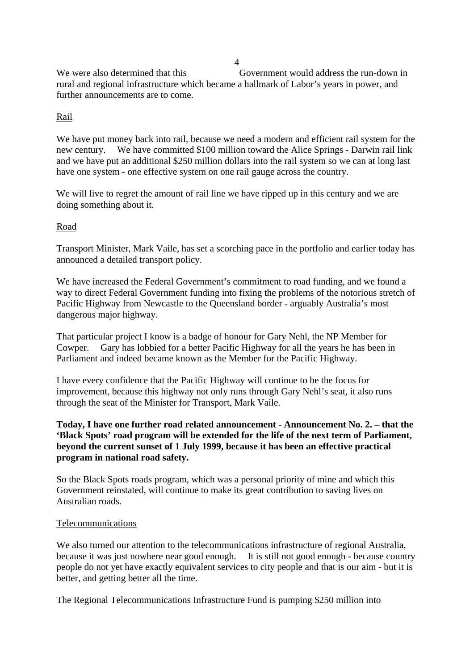4 We were also determined that this Government would address the run-down in rural and regional infrastructure which became a hallmark of Labor's years in power, and further announcements are to come.

# Rail

We have put money back into rail, because we need a modern and efficient rail system for the new century. We have committed \$100 million toward the Alice Springs - Darwin rail link and we have put an additional \$250 million dollars into the rail system so we can at long last have one system - one effective system on one rail gauge across the country.

We will live to regret the amount of rail line we have ripped up in this century and we are doing something about it.

#### Road

Transport Minister, Mark Vaile, has set a scorching pace in the portfolio and earlier today has announced a detailed transport policy.

We have increased the Federal Government's commitment to road funding, and we found a way to direct Federal Government funding into fixing the problems of the notorious stretch of Pacific Highway from Newcastle to the Queensland border - arguably Australia's most dangerous major highway.

That particular project I know is a badge of honour for Gary Nehl, the NP Member for Cowper. Gary has lobbied for a better Pacific Highway for all the years he has been in Parliament and indeed became known as the Member for the Pacific Highway.

I have every confidence that the Pacific Highway will continue to be the focus for improvement, because this highway not only runs through Gary Nehl's seat, it also runs through the seat of the Minister for Transport, Mark Vaile.

# **Today, I have one further road related announcement - Announcement No. 2. – that the 'Black Spots' road program will be extended for the life of the next term of Parliament, beyond the current sunset of 1 July 1999, because it has been an effective practical program in national road safety.**

So the Black Spots roads program, which was a personal priority of mine and which this Government reinstated, will continue to make its great contribution to saving lives on Australian roads.

#### Telecommunications

We also turned our attention to the telecommunications infrastructure of regional Australia, because it was just nowhere near good enough. It is still not good enough - because country people do not yet have exactly equivalent services to city people and that is our aim - but it is better, and getting better all the time.

The Regional Telecommunications Infrastructure Fund is pumping \$250 million into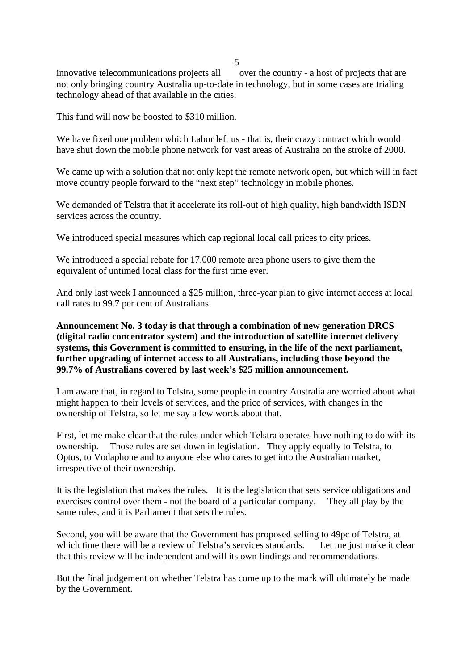$\sim$  5

innovative telecommunications projects all over the country - a host of projects that are not only bringing country Australia up-to-date in technology, but in some cases are trialing technology ahead of that available in the cities.

This fund will now be boosted to \$310 million.

We have fixed one problem which Labor left us - that is, their crazy contract which would have shut down the mobile phone network for vast areas of Australia on the stroke of 2000.

We came up with a solution that not only kept the remote network open, but which will in fact move country people forward to the "next step" technology in mobile phones.

We demanded of Telstra that it accelerate its roll-out of high quality, high bandwidth ISDN services across the country.

We introduced special measures which cap regional local call prices to city prices.

We introduced a special rebate for 17,000 remote area phone users to give them the equivalent of untimed local class for the first time ever.

And only last week I announced a \$25 million, three-year plan to give internet access at local call rates to 99.7 per cent of Australians.

# **Announcement No. 3 today is that through a combination of new generation DRCS (digital radio concentrator system) and the introduction of satellite internet delivery systems, this Government is committed to ensuring, in the life of the next parliament, further upgrading of internet access to all Australians, including those beyond the 99.7% of Australians covered by last week's \$25 million announcement.**

I am aware that, in regard to Telstra, some people in country Australia are worried about what might happen to their levels of services, and the price of services, with changes in the ownership of Telstra, so let me say a few words about that.

First, let me make clear that the rules under which Telstra operates have nothing to do with its ownership. Those rules are set down in legislation. They apply equally to Telstra, to Optus, to Vodaphone and to anyone else who cares to get into the Australian market, irrespective of their ownership.

It is the legislation that makes the rules. It is the legislation that sets service obligations and exercises control over them - not the board of a particular company. They all play by the same rules, and it is Parliament that sets the rules.

Second, you will be aware that the Government has proposed selling to 49pc of Telstra, at which time there will be a review of Telstra's services standards. Let me just make it clear that this review will be independent and will its own findings and recommendations.

But the final judgement on whether Telstra has come up to the mark will ultimately be made by the Government.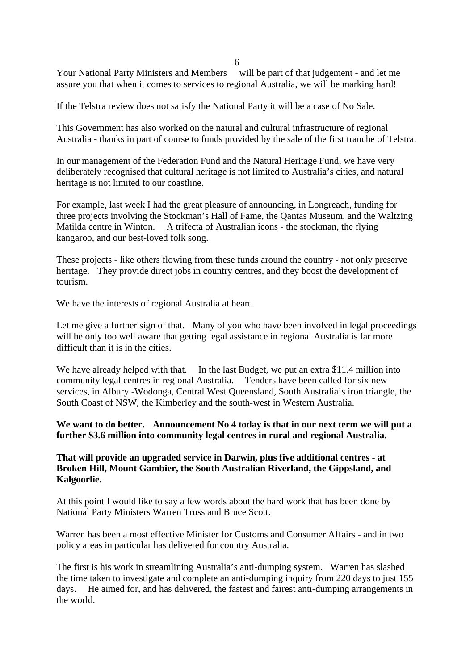$\sim$  6

Your National Party Ministers and Members will be part of that judgement - and let me assure you that when it comes to services to regional Australia, we will be marking hard!

If the Telstra review does not satisfy the National Party it will be a case of No Sale.

This Government has also worked on the natural and cultural infrastructure of regional Australia - thanks in part of course to funds provided by the sale of the first tranche of Telstra.

In our management of the Federation Fund and the Natural Heritage Fund, we have very deliberately recognised that cultural heritage is not limited to Australia's cities, and natural heritage is not limited to our coastline.

For example, last week I had the great pleasure of announcing, in Longreach, funding for three projects involving the Stockman's Hall of Fame, the Qantas Museum, and the Waltzing Matilda centre in Winton. A trifecta of Australian icons - the stockman, the flying kangaroo, and our best-loved folk song.

These projects - like others flowing from these funds around the country - not only preserve heritage. They provide direct jobs in country centres, and they boost the development of tourism.

We have the interests of regional Australia at heart.

Let me give a further sign of that. Many of you who have been involved in legal proceedings will be only too well aware that getting legal assistance in regional Australia is far more difficult than it is in the cities.

We have already helped with that. In the last Budget, we put an extra \$11.4 million into community legal centres in regional Australia. Tenders have been called for six new services, in Albury -Wodonga, Central West Queensland, South Australia's iron triangle, the South Coast of NSW, the Kimberley and the south-west in Western Australia.

# **We want to do better. Announcement No 4 today is that in our next term we will put a further \$3.6 million into community legal centres in rural and regional Australia.**

### **That will provide an upgraded service in Darwin, plus five additional centres - at Broken Hill, Mount Gambier, the South Australian Riverland, the Gippsland, and Kalgoorlie.**

At this point I would like to say a few words about the hard work that has been done by National Party Ministers Warren Truss and Bruce Scott.

Warren has been a most effective Minister for Customs and Consumer Affairs - and in two policy areas in particular has delivered for country Australia.

The first is his work in streamlining Australia's anti-dumping system. Warren has slashed the time taken to investigate and complete an anti-dumping inquiry from 220 days to just 155 days. He aimed for, and has delivered, the fastest and fairest anti-dumping arrangements in the world.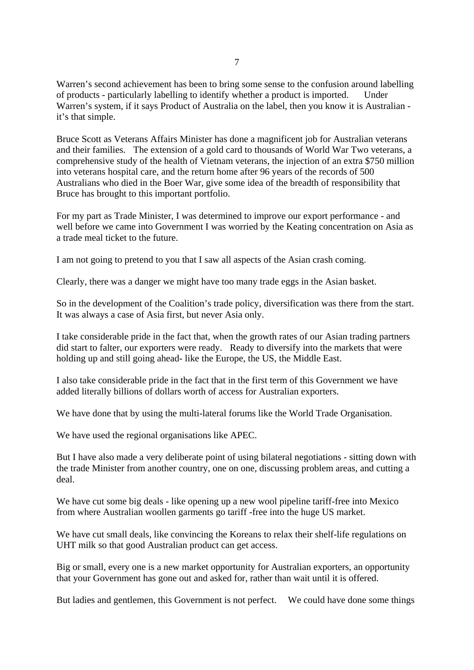Warren's second achievement has been to bring some sense to the confusion around labelling of products - particularly labelling to identify whether a product is imported. Under Warren's system, if it says Product of Australia on the label, then you know it is Australian it's that simple.

Bruce Scott as Veterans Affairs Minister has done a magnificent job for Australian veterans and their families. The extension of a gold card to thousands of World War Two veterans, a comprehensive study of the health of Vietnam veterans, the injection of an extra \$750 million into veterans hospital care, and the return home after 96 years of the records of 500 Australians who died in the Boer War, give some idea of the breadth of responsibility that Bruce has brought to this important portfolio.

For my part as Trade Minister, I was determined to improve our export performance - and well before we came into Government I was worried by the Keating concentration on Asia as a trade meal ticket to the future.

I am not going to pretend to you that I saw all aspects of the Asian crash coming.

Clearly, there was a danger we might have too many trade eggs in the Asian basket.

So in the development of the Coalition's trade policy, diversification was there from the start. It was always a case of Asia first, but never Asia only.

I take considerable pride in the fact that, when the growth rates of our Asian trading partners did start to falter, our exporters were ready. Ready to diversify into the markets that were holding up and still going ahead- like the Europe, the US, the Middle East.

I also take considerable pride in the fact that in the first term of this Government we have added literally billions of dollars worth of access for Australian exporters.

We have done that by using the multi-lateral forums like the World Trade Organisation.

We have used the regional organisations like APEC.

But I have also made a very deliberate point of using bilateral negotiations - sitting down with the trade Minister from another country, one on one, discussing problem areas, and cutting a deal.

We have cut some big deals - like opening up a new wool pipeline tariff-free into Mexico from where Australian woollen garments go tariff -free into the huge US market.

We have cut small deals, like convincing the Koreans to relax their shelf-life regulations on UHT milk so that good Australian product can get access.

Big or small, every one is a new market opportunity for Australian exporters, an opportunity that your Government has gone out and asked for, rather than wait until it is offered.

But ladies and gentlemen, this Government is not perfect. We could have done some things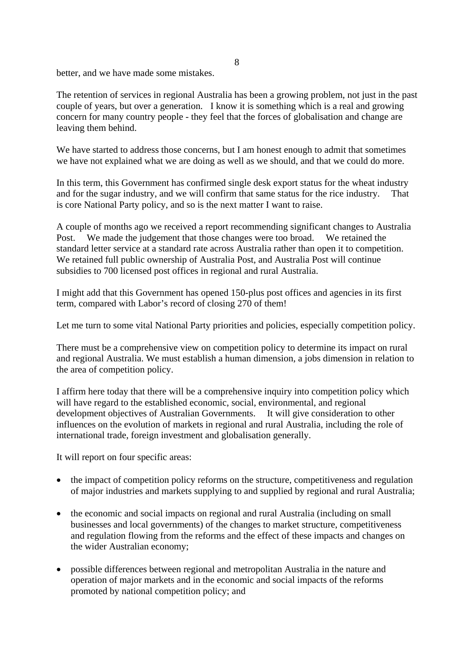better, and we have made some mistakes.

The retention of services in regional Australia has been a growing problem, not just in the past couple of years, but over a generation. I know it is something which is a real and growing concern for many country people - they feel that the forces of globalisation and change are leaving them behind.

We have started to address those concerns, but I am honest enough to admit that sometimes we have not explained what we are doing as well as we should, and that we could do more.

In this term, this Government has confirmed single desk export status for the wheat industry and for the sugar industry, and we will confirm that same status for the rice industry. That is core National Party policy, and so is the next matter I want to raise.

A couple of months ago we received a report recommending significant changes to Australia Post. We made the judgement that those changes were too broad. We retained the standard letter service at a standard rate across Australia rather than open it to competition. We retained full public ownership of Australia Post, and Australia Post will continue subsidies to 700 licensed post offices in regional and rural Australia.

I might add that this Government has opened 150-plus post offices and agencies in its first term, compared with Labor's record of closing 270 of them!

Let me turn to some vital National Party priorities and policies, especially competition policy.

There must be a comprehensive view on competition policy to determine its impact on rural and regional Australia. We must establish a human dimension, a jobs dimension in relation to the area of competition policy.

I affirm here today that there will be a comprehensive inquiry into competition policy which will have regard to the established economic, social, environmental, and regional development objectives of Australian Governments. It will give consideration to other influences on the evolution of markets in regional and rural Australia, including the role of international trade, foreign investment and globalisation generally.

It will report on four specific areas:

- the impact of competition policy reforms on the structure, competitiveness and regulation of major industries and markets supplying to and supplied by regional and rural Australia;
- the economic and social impacts on regional and rural Australia (including on small businesses and local governments) of the changes to market structure, competitiveness and regulation flowing from the reforms and the effect of these impacts and changes on the wider Australian economy;
- possible differences between regional and metropolitan Australia in the nature and operation of major markets and in the economic and social impacts of the reforms promoted by national competition policy; and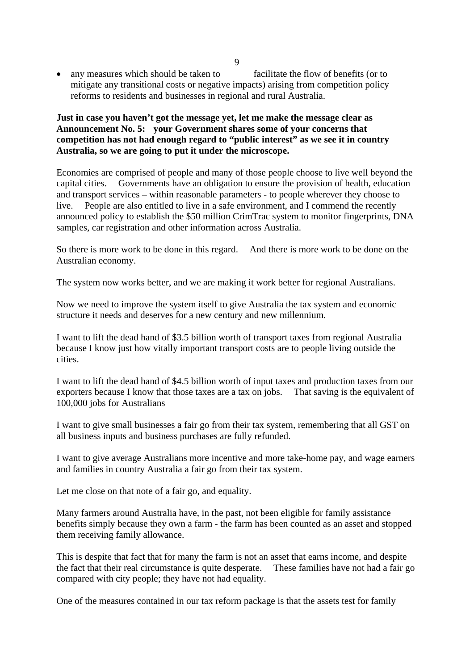• any measures which should be taken to facilitate the flow of benefits (or to mitigate any transitional costs or negative impacts) arising from competition policy reforms to residents and businesses in regional and rural Australia.

# **Just in case you haven't got the message yet, let me make the message clear as Announcement No. 5: your Government shares some of your concerns that competition has not had enough regard to "public interest" as we see it in country Australia, so we are going to put it under the microscope.**

Economies are comprised of people and many of those people choose to live well beyond the capital cities. Governments have an obligation to ensure the provision of health, education and transport services – within reasonable parameters - to people wherever they choose to live. People are also entitled to live in a safe environment, and I commend the recently announced policy to establish the \$50 million CrimTrac system to monitor fingerprints, DNA samples, car registration and other information across Australia.

So there is more work to be done in this regard. And there is more work to be done on the Australian economy.

The system now works better, and we are making it work better for regional Australians.

Now we need to improve the system itself to give Australia the tax system and economic structure it needs and deserves for a new century and new millennium.

I want to lift the dead hand of \$3.5 billion worth of transport taxes from regional Australia because I know just how vitally important transport costs are to people living outside the cities.

I want to lift the dead hand of \$4.5 billion worth of input taxes and production taxes from our exporters because I know that those taxes are a tax on jobs. That saving is the equivalent of 100,000 jobs for Australians

I want to give small businesses a fair go from their tax system, remembering that all GST on all business inputs and business purchases are fully refunded.

I want to give average Australians more incentive and more take-home pay, and wage earners and families in country Australia a fair go from their tax system.

Let me close on that note of a fair go, and equality.

Many farmers around Australia have, in the past, not been eligible for family assistance benefits simply because they own a farm - the farm has been counted as an asset and stopped them receiving family allowance.

This is despite that fact that for many the farm is not an asset that earns income, and despite the fact that their real circumstance is quite desperate. These families have not had a fair go compared with city people; they have not had equality.

One of the measures contained in our tax reform package is that the assets test for family

9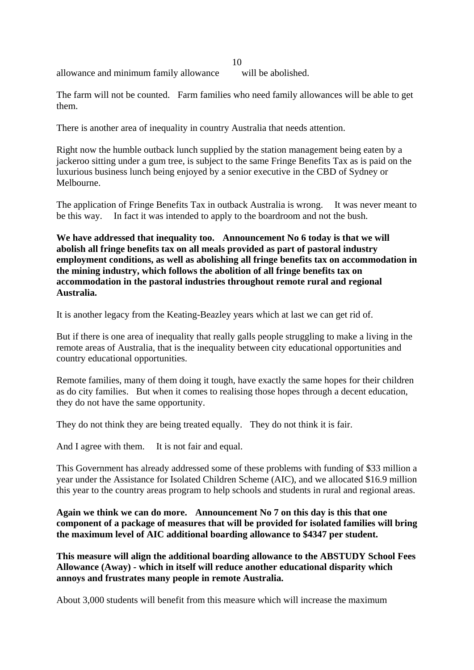allowance and minimum family allowance will be abolished.

10

The farm will not be counted. Farm families who need family allowances will be able to get them.

There is another area of inequality in country Australia that needs attention.

Right now the humble outback lunch supplied by the station management being eaten by a jackeroo sitting under a gum tree, is subject to the same Fringe Benefits Tax as is paid on the luxurious business lunch being enjoyed by a senior executive in the CBD of Sydney or Melbourne.

The application of Fringe Benefits Tax in outback Australia is wrong. It was never meant to be this way. In fact it was intended to apply to the boardroom and not the bush.

**We have addressed that inequality too. Announcement No 6 today is that we will abolish all fringe benefits tax on all meals provided as part of pastoral industry employment conditions, as well as abolishing all fringe benefits tax on accommodation in the mining industry, which follows the abolition of all fringe benefits tax on accommodation in the pastoral industries throughout remote rural and regional Australia.** 

It is another legacy from the Keating-Beazley years which at last we can get rid of.

But if there is one area of inequality that really galls people struggling to make a living in the remote areas of Australia, that is the inequality between city educational opportunities and country educational opportunities.

Remote families, many of them doing it tough, have exactly the same hopes for their children as do city families. But when it comes to realising those hopes through a decent education, they do not have the same opportunity.

They do not think they are being treated equally. They do not think it is fair.

And I agree with them. It is not fair and equal.

This Government has already addressed some of these problems with funding of \$33 million a year under the Assistance for Isolated Children Scheme (AIC), and we allocated \$16.9 million this year to the country areas program to help schools and students in rural and regional areas.

**Again we think we can do more. Announcement No 7 on this day is this that one component of a package of measures that will be provided for isolated families will bring the maximum level of AIC additional boarding allowance to \$4347 per student.** 

**This measure will align the additional boarding allowance to the ABSTUDY School Fees Allowance (Away) - which in itself will reduce another educational disparity which annoys and frustrates many people in remote Australia.** 

About 3,000 students will benefit from this measure which will increase the maximum